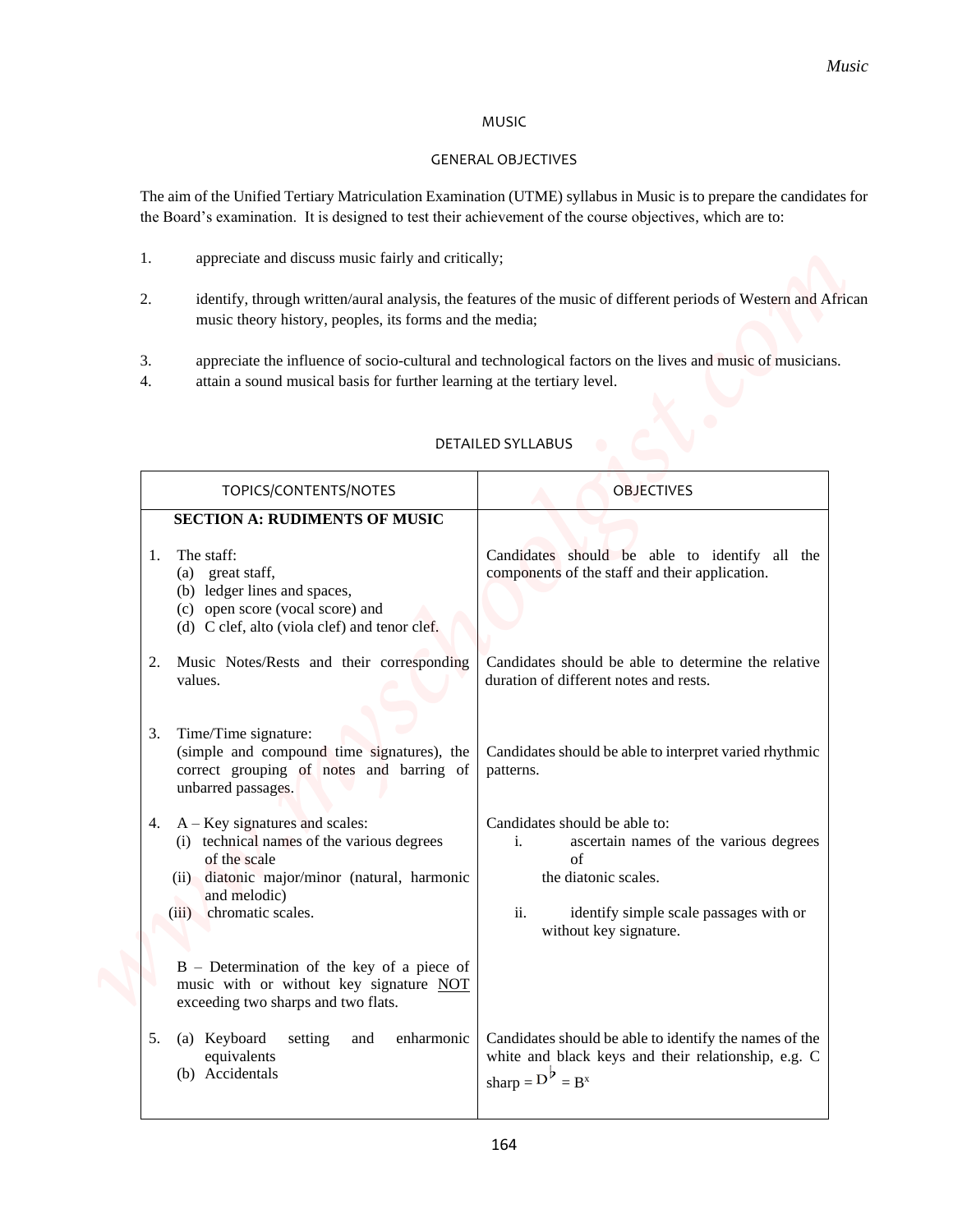## MUSIC

## GENERAL OBJECTIVES

- 1. appreciate and discuss music fairly and critically;
- 2. identify, through written/aural analysis, the features of the music of different periods of Western and African music theory history, peoples, its forms and the media;
- 3. appreciate the influence of socio-cultural and technological factors on the lives and music of musicians.
- 4. attain a sound musical basis for further learning at the tertiary level.

|                                                                                                                                                                                              | Music                                                                                                                                                        |
|----------------------------------------------------------------------------------------------------------------------------------------------------------------------------------------------|--------------------------------------------------------------------------------------------------------------------------------------------------------------|
|                                                                                                                                                                                              | <b>MUSIC</b>                                                                                                                                                 |
|                                                                                                                                                                                              | <b>GENERAL OBJECTIVES</b>                                                                                                                                    |
| the Board's examination. It is designed to test their achievement of the course objectives, which are to:                                                                                    | The aim of the Unified Tertiary Matriculation Examination (UTME) syllabus in Music is to prepare the candidates for                                          |
| appreciate and discuss music fairly and critically;<br>1.                                                                                                                                    |                                                                                                                                                              |
| 2.<br>music theory history, peoples, its forms and the media;                                                                                                                                | identify, through written/aural analysis, the features of the music of different periods of Western and African                                              |
| 3.<br>attain a sound musical basis for further learning at the tertiary level.<br>4.                                                                                                         | appreciate the influence of socio-cultural and technological factors on the lives and music of musicians.                                                    |
|                                                                                                                                                                                              | <b>DETAILED SYLLABUS</b>                                                                                                                                     |
| TOPICS/CONTENTS/NOTES                                                                                                                                                                        | <b>OBJECTIVES</b>                                                                                                                                            |
| <b>SECTION A: RUDIMENTS OF MUSIC</b>                                                                                                                                                         |                                                                                                                                                              |
| The staff:<br>1.<br>great staff,<br>(a)<br>(b) ledger lines and spaces,<br>(c) open score (vocal score) and<br>(d) C clef, alto (viola clef) and tenor clef.                                 | Candidates should be able to identify all the<br>components of the staff and their application.                                                              |
| Music Notes/Rests and their corresponding<br>values.                                                                                                                                         | Candidates should be able to determine the relative<br>duration of different notes and rests.                                                                |
| 3. Time/Time signature:<br>(simple and compound time signatures), the<br>correct grouping of notes and barring of<br>unbarred passages.                                                      | Candidates should be able to interpret varied rhythmic<br>patterns.                                                                                          |
| 4. $A - Key$ signatures and scales:<br>(i) technical names of the various degrees<br>of the scale<br>(ii) diatonic major/minor (natural, harmonic<br>and melodic)<br>(iii) chromatic scales. | Candidates should be able to:<br>i.<br>ascertain names of the various degrees<br>of<br>the diatonic scales.<br>ii.<br>identify simple scale passages with or |
| $B$ – Determination of the key of a piece of<br>music with or without key signature NOT<br>exceeding two sharps and two flats.                                                               | without key signature.                                                                                                                                       |
|                                                                                                                                                                                              | Candidates should be able to identify the names of the                                                                                                       |

## DETAILED SYLLABUS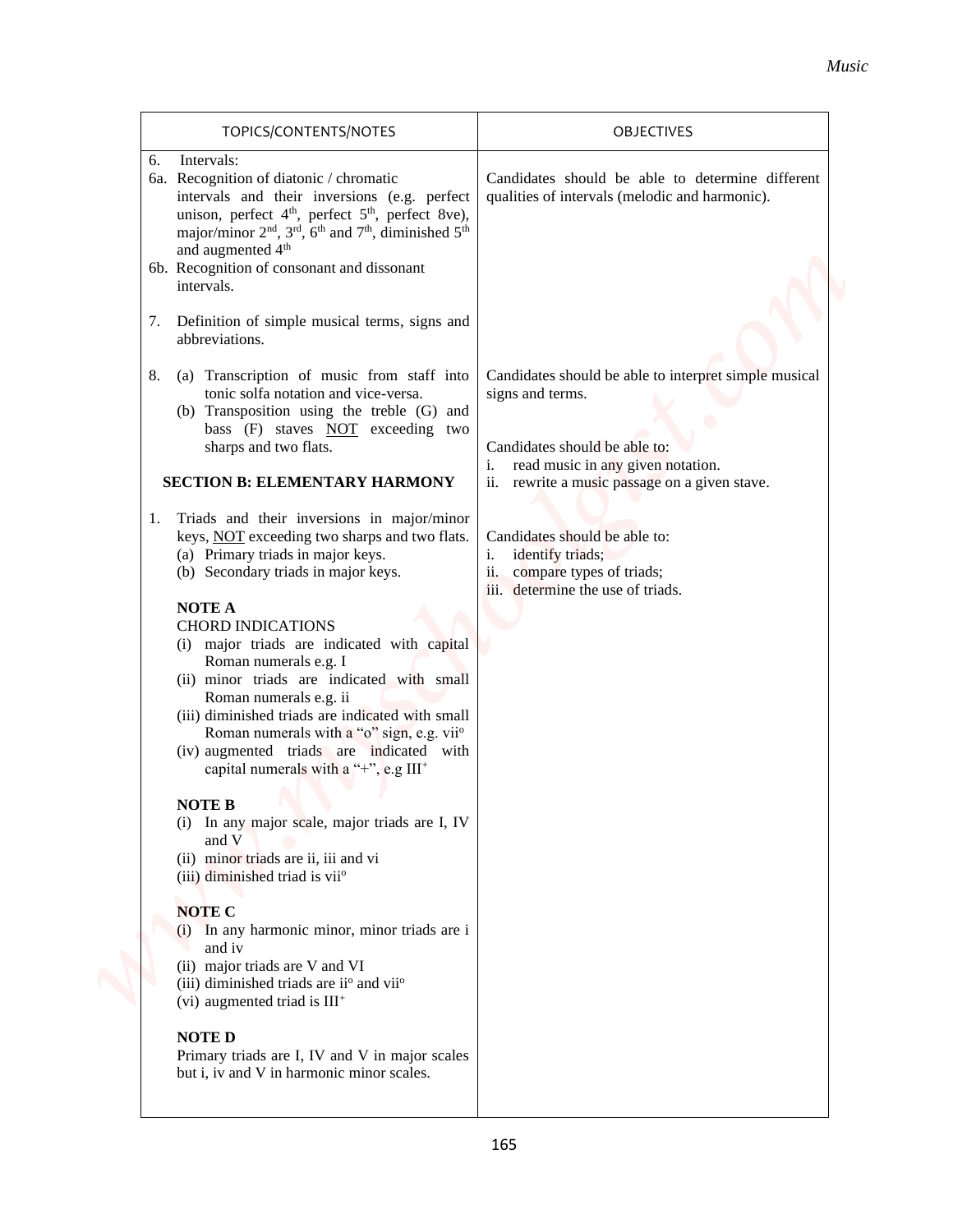| TOPICS/CONTENTS/NOTES                                                                                                                                                                                                                                                                                                                                                                                                                                                                                                                                                                                                                                                                                                                                                                                                                                                                                                                                           | OBJECTIVES                                                                                                                                                                                             |
|-----------------------------------------------------------------------------------------------------------------------------------------------------------------------------------------------------------------------------------------------------------------------------------------------------------------------------------------------------------------------------------------------------------------------------------------------------------------------------------------------------------------------------------------------------------------------------------------------------------------------------------------------------------------------------------------------------------------------------------------------------------------------------------------------------------------------------------------------------------------------------------------------------------------------------------------------------------------|--------------------------------------------------------------------------------------------------------------------------------------------------------------------------------------------------------|
| Intervals:<br>6.<br>6a. Recognition of diatonic / chromatic<br>intervals and their inversions (e.g. perfect<br>unison, perfect 4 <sup>th</sup> , perfect 5 <sup>th</sup> , perfect 8ve),<br>major/minor 2 <sup>nd</sup> , 3 <sup>rd</sup> , 6 <sup>th</sup> and 7 <sup>th</sup> , diminished 5 <sup>th</sup><br>and augmented 4 <sup>th</sup><br>6b. Recognition of consonant and dissonant<br>intervals.<br>Definition of simple musical terms, signs and<br>7.                                                                                                                                                                                                                                                                                                                                                                                                                                                                                                | Candidates should be able to determine different<br>qualities of intervals (melodic and harmonic).                                                                                                     |
| abbreviations.<br>(a) Transcription of music from staff into<br>8.<br>tonic solfa notation and vice-versa.<br>(b) Transposition using the treble (G) and<br>bass (F) staves NOT exceeding two<br>sharps and two flats.<br><b>SECTION B: ELEMENTARY HARMONY</b>                                                                                                                                                                                                                                                                                                                                                                                                                                                                                                                                                                                                                                                                                                  | Candidates should be able to interpret simple musical<br>signs and terms.<br>Candidates should be able to:<br>read music in any given notation.<br>i.<br>ii. rewrite a music passage on a given stave. |
| 1. Triads and their inversions in major/minor<br>keys, NOT exceeding two sharps and two flats.<br>(a) Primary triads in major keys.<br>(b) Secondary triads in major keys.<br><b>NOTE A</b><br><b>CHORD INDICATIONS</b><br>(i) major triads are indicated with capital<br>Roman numerals e.g. I<br>(ii) minor triads are indicated with small<br>Roman numerals e.g. ii<br>(iii) diminished triads are indicated with small<br>Roman numerals with a "o" sign, e.g. vii <sup>o</sup><br>(iv) augmented triads are indicated with<br>capital numerals with a "+", e.g III+<br><b>NOTE B</b><br>(i) In any major scale, major triads are I, IV<br>and V<br>(ii) minor triads are ii, iii and vi<br>(iii) diminished triad is vii <sup>o</sup><br><b>NOTE C</b><br>(i) In any harmonic minor, minor triads are i<br>and iv<br>(ii) major triads are V and VI<br>(iii) diminished triads are ii <sup>o</sup> and vii <sup>o</sup><br>(vi) augmented triad is $III+$ | Candidates should be able to:<br>identify triads;<br>i.<br>compare types of triads;<br>ii.<br>iii. determine the use of triads.                                                                        |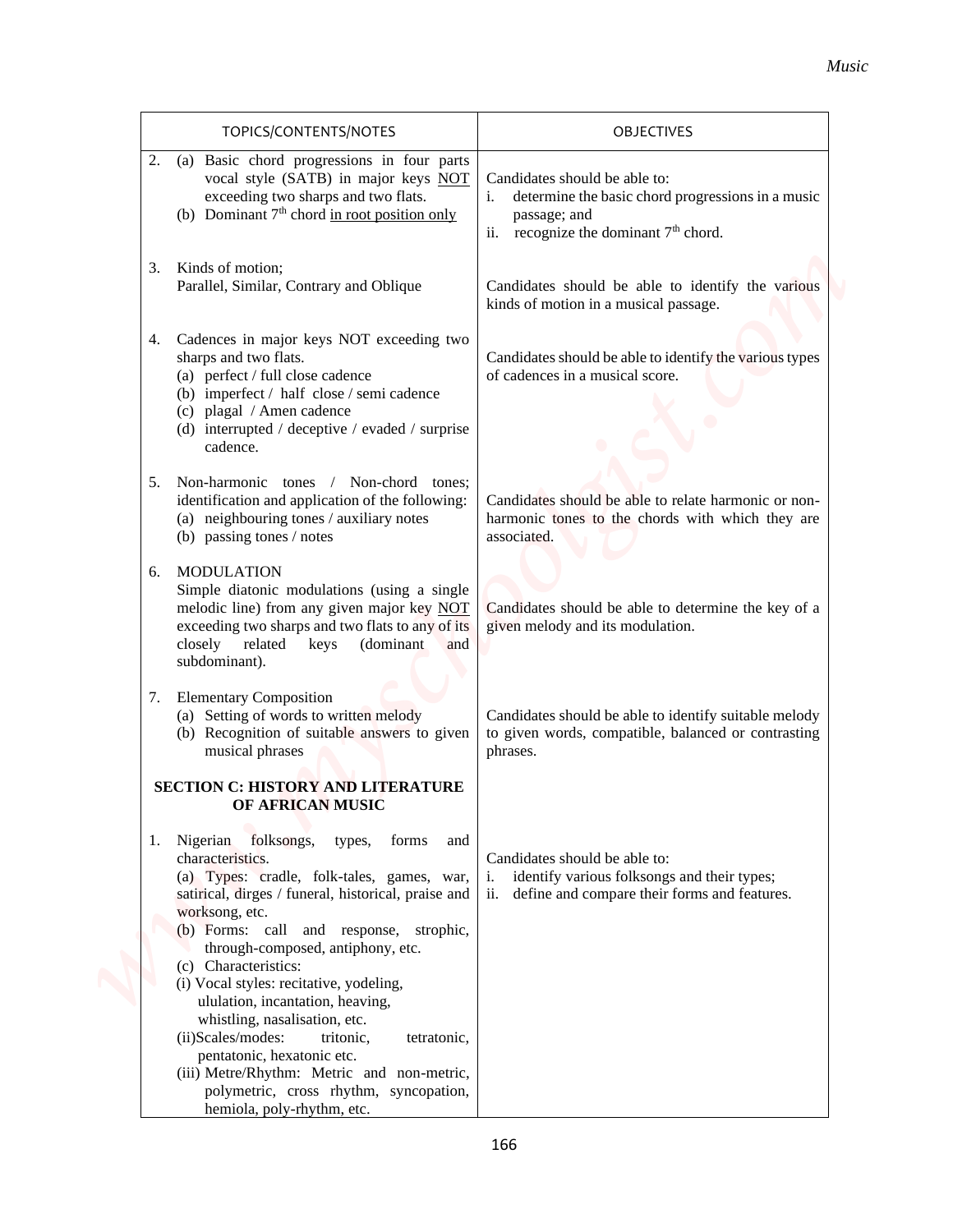|                                                                                                                                                                                                                                                                                                                                                                                                                                         | OBJECTIVES                                                                                                                                    |
|-----------------------------------------------------------------------------------------------------------------------------------------------------------------------------------------------------------------------------------------------------------------------------------------------------------------------------------------------------------------------------------------------------------------------------------------|-----------------------------------------------------------------------------------------------------------------------------------------------|
| TOPICS/CONTENTS/NOTES<br>2. (a) Basic chord progressions in four parts<br>vocal style (SATB) in major keys NOT<br>exceeding two sharps and two flats.<br>(b) Dominant $7th$ chord in root position only                                                                                                                                                                                                                                 | Candidates should be able to:<br>determine the basic chord progressions in a music<br>passage; and<br>ii. recognize the dominant $7th$ chord. |
| Kinds of motion;<br>3.<br>Parallel, Similar, Contrary and Oblique                                                                                                                                                                                                                                                                                                                                                                       | Candidates should be able to identify the various<br>kinds of motion in a musical passage.                                                    |
| Cadences in major keys NOT exceeding two<br>4.<br>sharps and two flats.<br>(a) perfect / full close cadence<br>(b) imperfect / half close / semi cadence<br>(c) plagal / Amen cadence<br>(d) interrupted / deceptive / evaded / surprise<br>cadence.                                                                                                                                                                                    | Candidates should be able to identify the various types<br>of cadences in a musical score.                                                    |
| Non-harmonic tones / Non-chord tones;<br>5.<br>identification and application of the following:<br>(a) neighbouring tones / auxiliary notes<br>(b) passing tones / notes                                                                                                                                                                                                                                                                | Candidates should be able to relate harmonic or non-<br>harmonic tones to the chords with which they are<br>associated.                       |
| <b>MODULATION</b><br>6.<br>Simple diatonic modulations (using a single<br>melodic line) from any given major key NOT<br>exceeding two sharps and two flats to any of its<br>closely related<br>(dominant<br>keys<br>and<br>subdominant).                                                                                                                                                                                                | Candidates should be able to determine the key of a<br>given melody and its modulation.                                                       |
| <b>Elementary Composition</b><br>7.<br>(a) Setting of words to written melody<br>(b) Recognition of suitable answers to given<br>musical phrases<br><b>SECTION C: HISTORY AND LITERATURE</b>                                                                                                                                                                                                                                            | Candidates should be able to identify suitable melody<br>to given words, compatible, balanced or contrasting<br>phrases.                      |
| OF AFRICAN MUSIC<br>1. Nigerian folksongs,<br>types,<br>forms<br>and<br>characteristics.<br>(a) Types: cradle, folk-tales, games, war,<br>satirical, dirges / funeral, historical, praise and<br>worksong, etc.<br>(b) Forms: call and response, strophic,<br>through-composed, antiphony, etc.<br>(c) Characteristics:<br>(i) Vocal styles: recitative, yodeling,<br>ululation, incantation, heaving,<br>whistling, nasalisation, etc. | Candidates should be able to:<br>i.<br>identify various folksongs and their types;<br>ii.<br>define and compare their forms and features.     |
| (ii)Scales/modes:<br>tritonic,<br>tetratonic,<br>pentatonic, hexatonic etc.<br>(iii) Metre/Rhythm: Metric and non-metric,<br>polymetric, cross rhythm, syncopation,<br>hemiola, poly-rhythm, etc.                                                                                                                                                                                                                                       |                                                                                                                                               |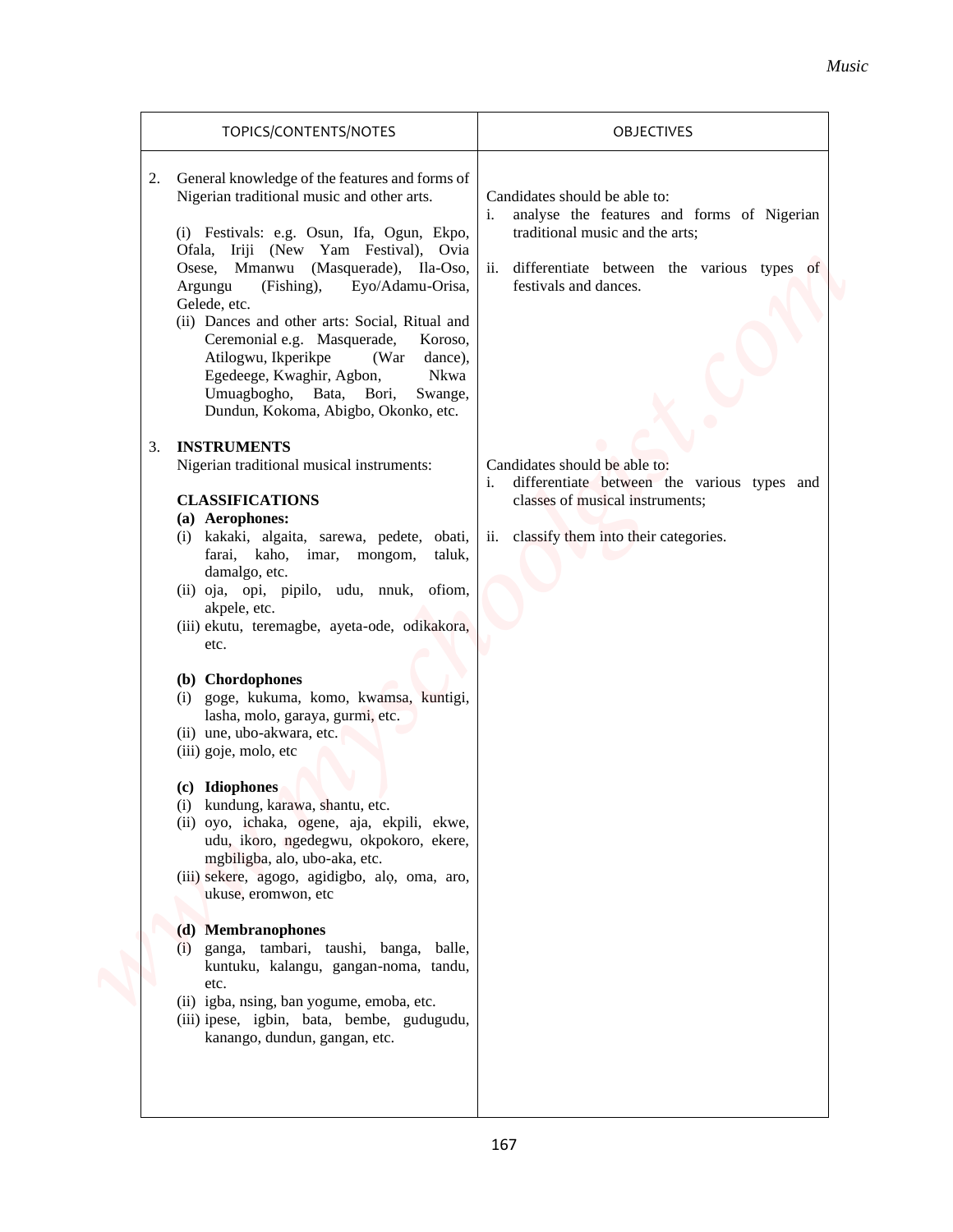| TOPICS/CONTENTS/NOTES                                                                                                                                                                                                                                                                                                                                                                                                                                                                                                                                                                                                                                                                                                                                                                                                                                                                                                                                                                                                                                                                                                                                                                                                                                                                                                                                                                                                                                                                                                                                                       | OBJECTIVES                                                                                                                                                                                                                                                                                                                                                           |
|-----------------------------------------------------------------------------------------------------------------------------------------------------------------------------------------------------------------------------------------------------------------------------------------------------------------------------------------------------------------------------------------------------------------------------------------------------------------------------------------------------------------------------------------------------------------------------------------------------------------------------------------------------------------------------------------------------------------------------------------------------------------------------------------------------------------------------------------------------------------------------------------------------------------------------------------------------------------------------------------------------------------------------------------------------------------------------------------------------------------------------------------------------------------------------------------------------------------------------------------------------------------------------------------------------------------------------------------------------------------------------------------------------------------------------------------------------------------------------------------------------------------------------------------------------------------------------|----------------------------------------------------------------------------------------------------------------------------------------------------------------------------------------------------------------------------------------------------------------------------------------------------------------------------------------------------------------------|
| General knowledge of the features and forms of<br>2.<br>Nigerian traditional music and other arts.<br>(i) Festivals: e.g. Osun, Ifa, Ogun, Ekpo,<br>Ofala, Iriji (New Yam Festival), Ovia<br>Osese, Mmanwu (Masquerade), Ila-Oso,<br>(Fishing),<br>Eyo/Adamu-Orisa,<br>Argungu<br>Gelede, etc.<br>(ii) Dances and other arts: Social, Ritual and<br>Ceremonial e.g. Masquerade,<br>Koroso,<br>Atilogwu, Ikperikpe<br>(War<br>dance),<br>Egedeege, Kwaghir, Agbon,<br>Nkwa<br>Umuagbogho, Bata, Bori, Swange,<br>Dundun, Kokoma, Abigbo, Okonko, etc.<br><b>INSTRUMENTS</b><br>3.<br>Nigerian traditional musical instruments:<br><b>CLASSIFICATIONS</b><br>(a) Aerophones:<br>(i) kakaki, algaita, sarewa, pedete, obati,<br>farai, kaho, imar, mongom,<br>taluk,<br>damalgo, etc.<br>(ii) oja, opi, pipilo, udu, nnuk, ofiom,<br>akpele, etc.<br>(iii) ekutu, teremagbe, ayeta-ode, odikakora,<br>etc.<br>(b) Chordophones<br>(i) goge, kukuma, komo, kwamsa, kuntigi,<br>lasha, molo, garaya, gurmi, etc.<br>(ii) une, ubo-akwara, etc.<br>(iii) goje, molo, etc<br>(c) Idiophones<br>(i) kundung, karawa, shantu, etc.<br>(ii) oyo, ichaka, ogene, aja, ekpili, ekwe,<br>udu, ikoro, ngedegwu, okpokoro, ekere,<br>mgbiligba, alo, ubo-aka, etc.<br>(iii) sekere, agogo, agidigbo, alo, oma, aro,<br>ukuse, eromwon, etc<br>(d) Membranophones<br>(i) ganga, tambari, taushi, banga, balle,<br>kuntuku, kalangu, gangan-noma, tandu,<br>etc.<br>(ii) igba, nsing, ban yogume, emoba, etc.<br>(iii) ipese, igbin, bata, bembe, gudugudu,<br>kanango, dundun, gangan, etc. | Candidates should be able to:<br>i.<br>analyse the features and forms of Nigerian<br>traditional music and the arts;<br>ii. differentiate between the various types of<br>festivals and dances.<br>Candidates should be able to:<br>differentiate between the various types and<br>i.<br>classes of musical instruments;<br>ii. classify them into their categories. |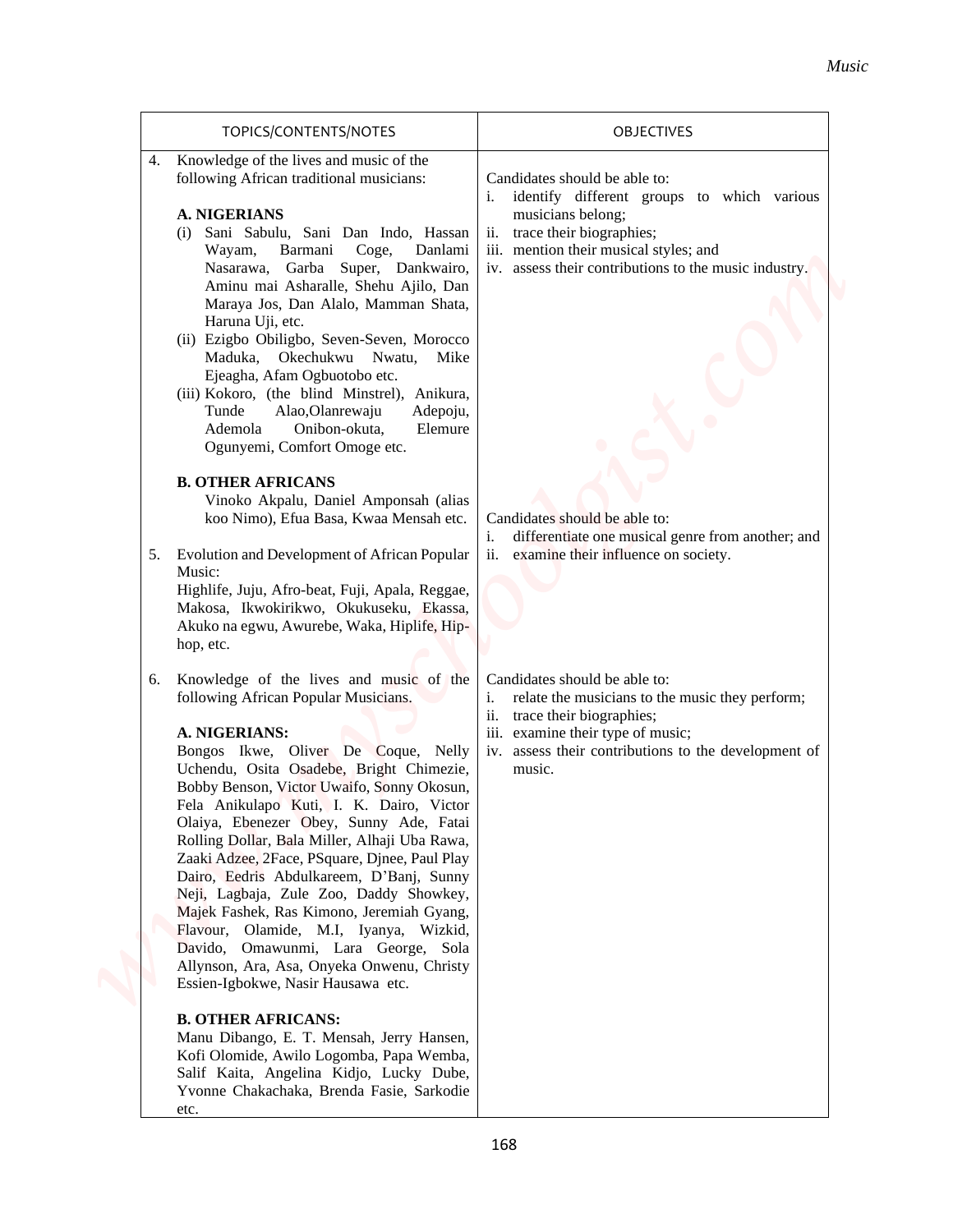| TOPICS/CONTENTS/NOTES                                                                                                                                                                                                                                                                                                                                                                                                                                                                                                                                                                                                                                                                                                                  | <b>OBJECTIVES</b>                                                                                                                                                                                                                      |
|----------------------------------------------------------------------------------------------------------------------------------------------------------------------------------------------------------------------------------------------------------------------------------------------------------------------------------------------------------------------------------------------------------------------------------------------------------------------------------------------------------------------------------------------------------------------------------------------------------------------------------------------------------------------------------------------------------------------------------------|----------------------------------------------------------------------------------------------------------------------------------------------------------------------------------------------------------------------------------------|
| Knowledge of the lives and music of the<br>4.<br>following African traditional musicians:<br><b>A. NIGERIANS</b><br>Sani Sabulu, Sani Dan Indo, Hassan<br>(i)<br>Coge,<br>Danlami<br>Wayam,<br>Barmani<br>Nasarawa, Garba Super, Dankwairo,<br>Aminu mai Asharalle, Shehu Ajilo, Dan<br>Maraya Jos, Dan Alalo, Mamman Shata,<br>Haruna Uji, etc.<br>(ii) Ezigbo Obiligbo, Seven-Seven, Morocco<br>Maduka, Okechukwu Nwatu,<br>Mike<br>Ejeagha, Afam Ogbuotobo etc.<br>(iii) Kokoro, (the blind Minstrel), Anikura,<br>Tunde<br>Alao, Olanrewaju<br>Adepoju,<br>Ademola<br>Onibon-okuta,<br>Elemure<br>Ogunyemi, Comfort Omoge etc.                                                                                                     | Candidates should be able to:<br>identify different groups to which various<br>musicians belong;<br>trace their biographies;<br>ii.<br>iii. mention their musical styles; and<br>iv. assess their contributions to the music industry. |
| <b>B. OTHER AFRICANS</b><br>Vinoko Akpalu, Daniel Amponsah (alias<br>koo Nimo), Efua Basa, Kwaa Mensah etc.<br>Evolution and Development of African Popular<br>5.<br>Music:<br>Highlife, Juju, Afro-beat, Fuji, Apala, Reggae,<br>Makosa, Ikwokirikwo, Okukuseku, Ekassa,<br>Akuko na egwu, Awurebe, Waka, Hiplife, Hip-<br>hop, etc.                                                                                                                                                                                                                                                                                                                                                                                                  | Candidates should be able to:<br>differentiate one musical genre from another; and<br>i.<br>examine their influence on society.<br>ii.                                                                                                 |
| 6. Knowledge of the lives and music of the<br>following African Popular Musicians.<br>A. NIGERIANS:<br>Bongos Ikwe, Oliver De Coque, Nelly<br>Uchendu, Osita Osadebe, Bright Chimezie,<br>Bobby Benson, Victor Uwaifo, Sonny Okosun,<br>Fela Anikulapo Kuti, I. K. Dairo, Victor<br>Olaiya, Ebenezer Obey, Sunny Ade, Fatai<br>Rolling Dollar, Bala Miller, Alhaji Uba Rawa,<br>Zaaki Adzee, 2Face, PSquare, Djnee, Paul Play<br>Dairo, Eedris Abdulkareem, D'Banj, Sunny<br>Neji, Lagbaja, Zule Zoo, Daddy Showkey,<br>Majek Fashek, Ras Kimono, Jeremiah Gyang,<br>Flavour, Olamide, M.I, Iyanya, Wizkid,<br>Davido, Omawunmi, Lara George, Sola<br>Allynson, Ara, Asa, Onyeka Onwenu, Christy<br>Essien-Igbokwe, Nasir Hausawa etc. | Candidates should be able to:<br>relate the musicians to the music they perform;<br>i.<br>ii. trace their biographies;<br>iii. examine their type of music;<br>iv. assess their contributions to the development of<br>music.          |
| <b>B. OTHER AFRICANS:</b><br>Manu Dibango, E. T. Mensah, Jerry Hansen,<br>Kofi Olomide, Awilo Logomba, Papa Wemba,<br>Salif Kaita, Angelina Kidjo, Lucky Dube,<br>Yvonne Chakachaka, Brenda Fasie, Sarkodie<br>etc.                                                                                                                                                                                                                                                                                                                                                                                                                                                                                                                    |                                                                                                                                                                                                                                        |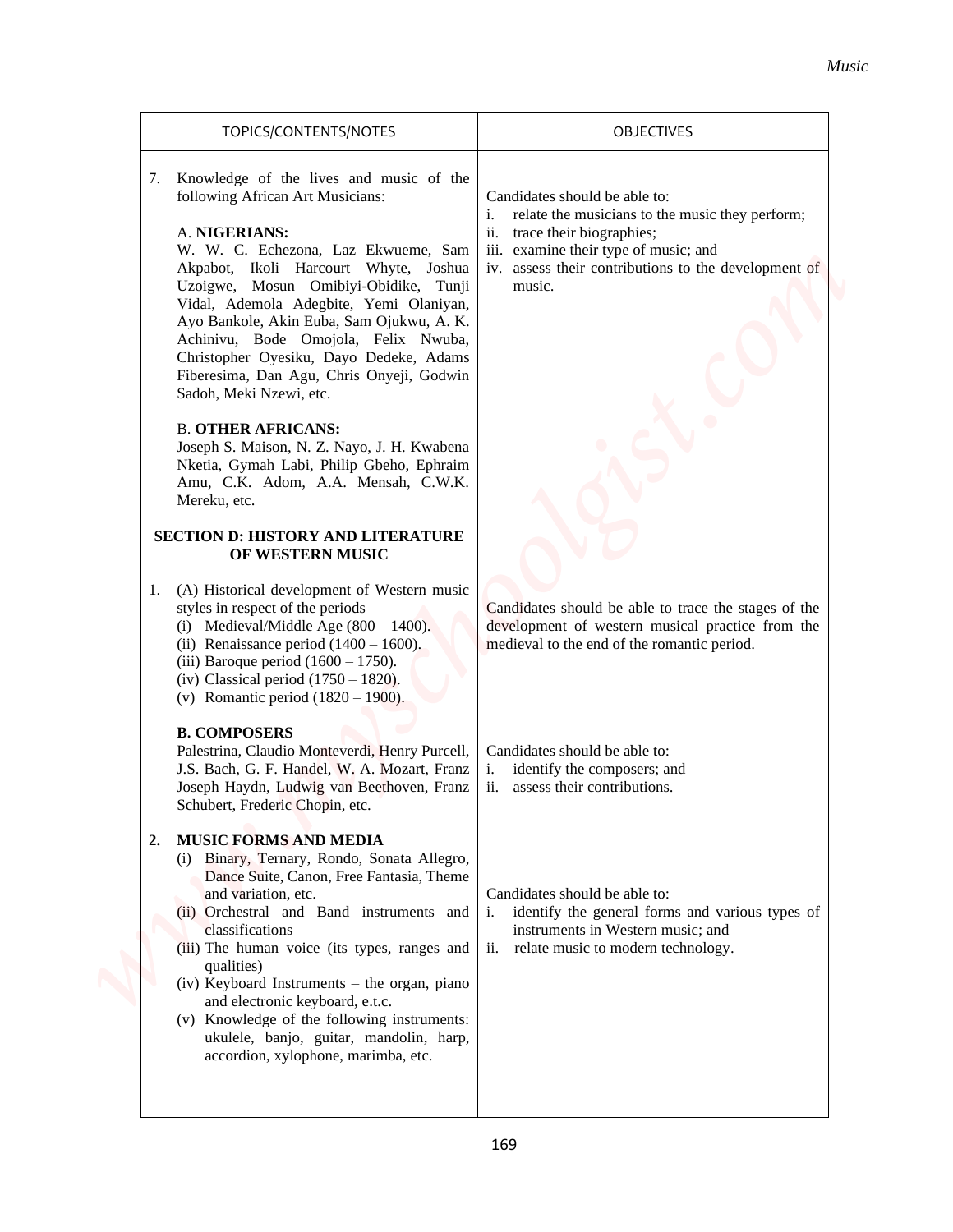|                                                                                                                                                                                                                                                                                                                                                                                                                                                                                                       | Music                                                                                                                                                                                                                                |
|-------------------------------------------------------------------------------------------------------------------------------------------------------------------------------------------------------------------------------------------------------------------------------------------------------------------------------------------------------------------------------------------------------------------------------------------------------------------------------------------------------|--------------------------------------------------------------------------------------------------------------------------------------------------------------------------------------------------------------------------------------|
| TOPICS/CONTENTS/NOTES                                                                                                                                                                                                                                                                                                                                                                                                                                                                                 | <b>OBJECTIVES</b>                                                                                                                                                                                                                    |
| Knowledge of the lives and music of the<br>7.<br>following African Art Musicians:<br>A. NIGERIANS:<br>W. W. C. Echezona, Laz Ekwueme, Sam<br>Akpabot, Ikoli Harcourt Whyte, Joshua<br>Uzoigwe, Mosun Omibiyi-Obidike, Tunji<br>Vidal, Ademola Adegbite, Yemi Olaniyan,<br>Ayo Bankole, Akin Euba, Sam Ojukwu, A. K.<br>Achinivu, Bode Omojola, Felix Nwuba,<br>Christopher Oyesiku, Dayo Dedeke, Adams<br>Fiberesima, Dan Agu, Chris Onyeji, Godwin<br>Sadoh, Meki Nzewi, etc.                        | Candidates should be able to:<br>relate the musicians to the music they perform;<br>i.<br>trace their biographies;<br>11.<br>iii. examine their type of music; and<br>iv. assess their contributions to the development of<br>music. |
| <b>B. OTHER AFRICANS:</b><br>Joseph S. Maison, N. Z. Nayo, J. H. Kwabena<br>Nketia, Gymah Labi, Philip Gbeho, Ephraim<br>Amu, C.K. Adom, A.A. Mensah, C.W.K.<br>Mereku, etc.<br><b>SECTION D: HISTORY AND LITERATURE</b>                                                                                                                                                                                                                                                                              |                                                                                                                                                                                                                                      |
| OF WESTERN MUSIC<br>1. (A) Historical development of Western music<br>styles in respect of the periods<br>(i) Medieval/Middle Age $(800 - 1400)$ .<br>(ii) Renaissance period $(1400 - 1600)$ .<br>(iii) Baroque period $(1600 - 1750)$ .<br>(iv) Classical period $(1750 - 1820)$ .<br>(v) Romantic period $(1820 - 1900)$ .                                                                                                                                                                         | Candidates should be able to trace the stages of the<br>development of western musical practice from the<br>medieval to the end of the romantic period.                                                                              |
| <b>B. COMPOSERS</b><br>Palestrina, Claudio Monteverdi, Henry Purcell,<br>J.S. Bach, G. F. Handel, W. A. Mozart, Franz<br>Joseph Haydn, Ludwig van Beethoven, Franz<br>Schubert, Frederic Chopin, etc.                                                                                                                                                                                                                                                                                                 | Candidates should be able to:<br>identify the composers; and<br>i.<br>assess their contributions.<br>ii.                                                                                                                             |
| <b>MUSIC FORMS AND MEDIA</b><br>2.<br>(i) Binary, Ternary, Rondo, Sonata Allegro,<br>Dance Suite, Canon, Free Fantasia, Theme<br>and variation, etc.<br>(ii) Orchestral and Band instruments and<br>classifications<br>(iii) The human voice (its types, ranges and<br>qualities)<br>(iv) Keyboard Instruments – the organ, piano<br>and electronic keyboard, e.t.c.<br>(v) Knowledge of the following instruments:<br>ukulele, banjo, guitar, mandolin, harp,<br>accordion, xylophone, marimba, etc. | Candidates should be able to:<br>identify the general forms and various types of<br>i.<br>instruments in Western music; and<br>relate music to modern technology.<br>11.                                                             |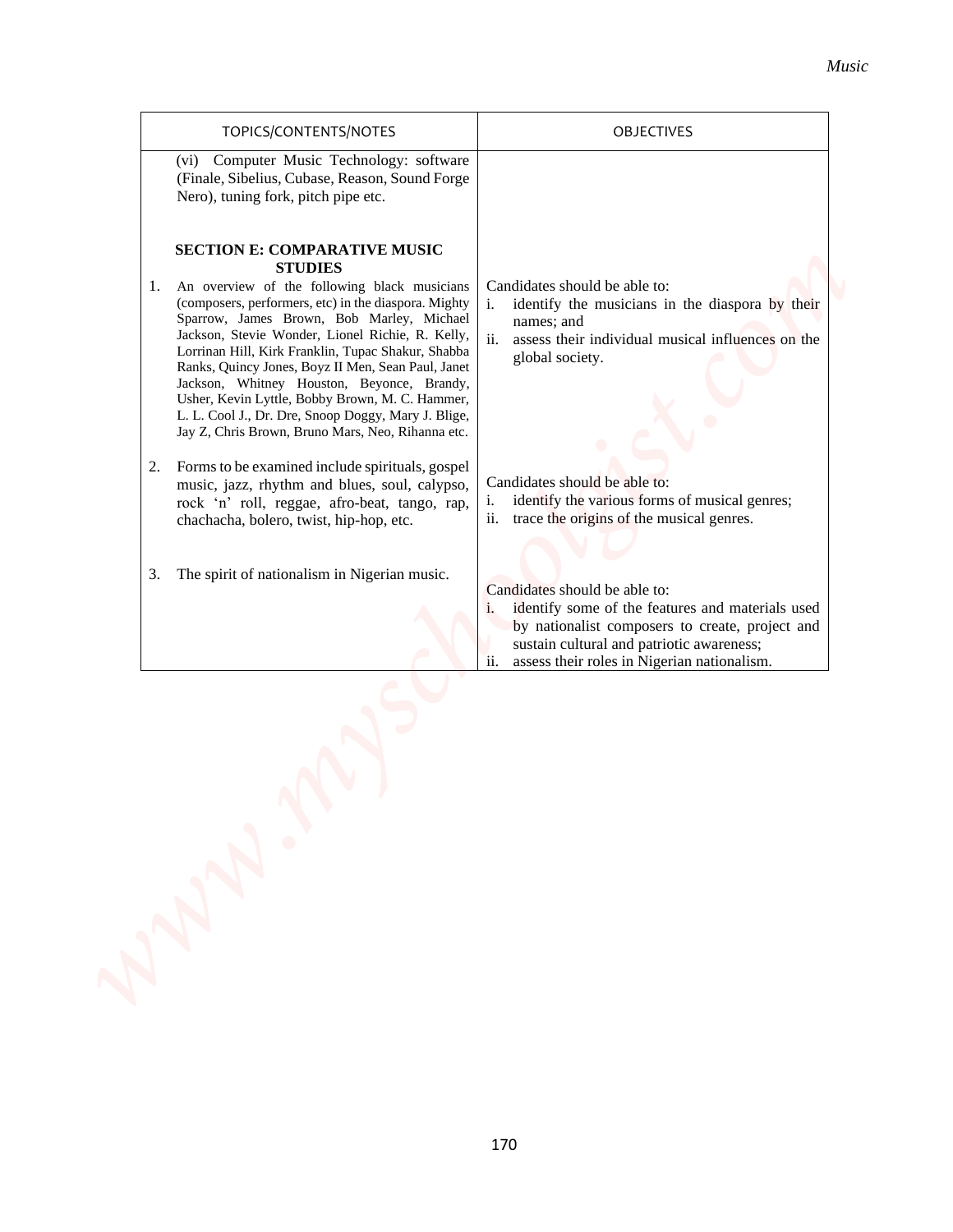| Computer Music Technology: software<br>(vi)<br>(Finale, Sibelius, Cubase, Reason, Sound Forge                                                                                                                                                                                                                                                                                                                                                                                                                                                                                              |                                                                                                                                                                                                                                               |
|--------------------------------------------------------------------------------------------------------------------------------------------------------------------------------------------------------------------------------------------------------------------------------------------------------------------------------------------------------------------------------------------------------------------------------------------------------------------------------------------------------------------------------------------------------------------------------------------|-----------------------------------------------------------------------------------------------------------------------------------------------------------------------------------------------------------------------------------------------|
| Nero), tuning fork, pitch pipe etc.                                                                                                                                                                                                                                                                                                                                                                                                                                                                                                                                                        |                                                                                                                                                                                                                                               |
| <b>SECTION E: COMPARATIVE MUSIC</b><br><b>STUDIES</b><br>1. An overview of the following black musicians<br>(composers, performers, etc) in the diaspora. Mighty<br>Sparrow, James Brown, Bob Marley, Michael<br>Jackson, Stevie Wonder, Lionel Richie, R. Kelly,<br>Lorrinan Hill, Kirk Franklin, Tupac Shakur, Shabba<br>Ranks, Quincy Jones, Boyz II Men, Sean Paul, Janet<br>Jackson, Whitney Houston, Beyonce, Brandy,<br>Usher, Kevin Lyttle, Bobby Brown, M. C. Hammer,<br>L. L. Cool J., Dr. Dre, Snoop Doggy, Mary J. Blige,<br>Jay Z, Chris Brown, Bruno Mars, Neo, Rihanna etc. | Candidates should be able to:<br>identify the musicians in the diaspora by their<br>$\mathbf{i}$ .<br>names; and<br>ii.<br>assess their individual musical influences on the<br>global society.                                               |
| Forms to be examined include spirituals, gospel<br>2.<br>music, jazz, rhythm and blues, soul, calypso,<br>rock 'n' roll, reggae, afro-beat, tango, rap,<br>chachacha, bolero, twist, hip-hop, etc.                                                                                                                                                                                                                                                                                                                                                                                         | Candidates should be able to:<br>identify the various forms of musical genres;<br>i.<br>trace the origins of the musical genres.<br>ii.                                                                                                       |
| The spirit of nationalism in Nigerian music.<br>3.                                                                                                                                                                                                                                                                                                                                                                                                                                                                                                                                         | Candidates should be able to:<br>identify some of the features and materials used<br>i.<br>by nationalist composers to create, project and<br>sustain cultural and patriotic awareness;<br>ii.<br>assess their roles in Nigerian nationalism. |